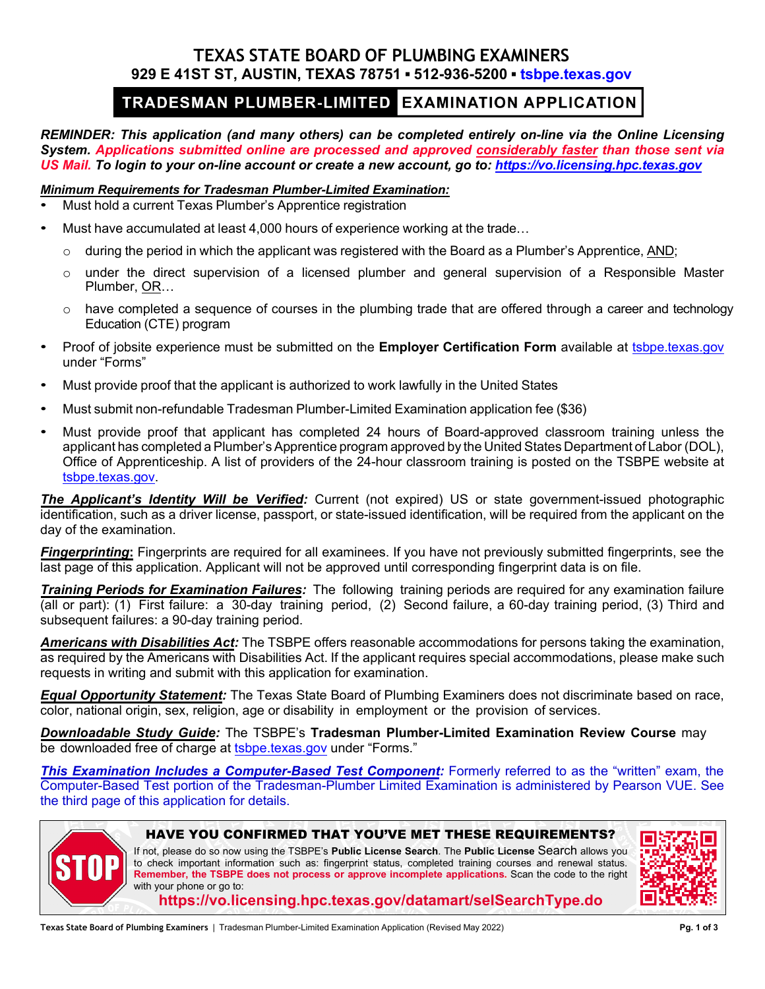## **TEXAS STATE BOARD OF PLUMBING EXAMINERS 929 E 41ST ST, AUSTIN, TEXAS 78751 ▪ 512-936-5200 ▪ [tsbpe.texas.gov](http://www.tsbpe.texas.gov/)**

# TRADESMAN PLUMBER-LIMITED EXAMINATION APPLICATION

*REMINDER: This application (and many others) can be completed entirely on-line via the Online Licensing System. Applications submitted online are processed and approved considerably faster than those sent via US Mail. To login to your on-line account or create a new account, go to: [https://vo.licensing.hpc.texas.gov](https://vo.licensing.hpc.texas.gov/)*

### *Minimum Requirements for Tradesman Plumber-Limited Examination:*

- Must hold a current Texas Plumber's Apprentice registration
- Must have accumulated at least 4,000 hours of experience working at the trade…
	- $\circ$  during the period in which the applicant was registered with the Board as a Plumber's Apprentice, AND;
	- $\circ$  under the direct supervision of a licensed plumber and general supervision of a Responsible Master Plumber, OR…
	- $\circ$  have completed a sequence of courses in the plumbing trade that are offered through a career and technology Education (CTE) program
- Proof of jobsite experience must be submitted on the **Employer Certification Form** available at [tsbpe.texas.gov](https://tsbpe.texas.gov/) under "Forms"
- Must provide proof that the applicant is authorized to work lawfully in the United States
- Must submit non-refundable Tradesman Plumber-Limited Examination application fee (\$36)
- Must provide proof that applicant has completed 24 hours of Board-approved classroom training unless the applicant has completed a Plumber's Apprentice program approved by the United States Department of Labor (DOL), Office of Apprenticeship. A list of providers of the 24-hour classroom training is posted on the TSBPE website at [tsbpe.texas.gov.](http://tsbpe.texas.gov/)

*The Applicant's Identity Will be Verified:* Current (not expired) US or state government-issued photographic identification, such as a driver license, passport, or state-issued identification, will be required from the applicant on the day of the examination.

*Fingerprinting***:** Fingerprints are required for all examinees. If you have not previously submitted fingerprints, see the last page of this application. Applicant will not be approved until corresponding fingerprint data is on file.

*Training Periods for Examination Failures:* The following training periods are required for any examination failure (all or part): (1) First failure: a 30-day training period, (2) Second failure, a 60-day training period, (3) Third and subsequent failures: a 90-day training period.

*Americans with Disabilities Act:* The TSBPE offers reasonable accommodations for persons taking the examination, as required by the Americans with Disabilities Act. If the applicant requires special accommodations, please make such requests in writing and submit with this application for examination.

*Equal Opportunity Statement:* The Texas State Board of Plumbing Examiners does not discriminate based on race, color, national origin, sex, religion, age or disability in employment or the provision of services.

*Downloadable Study Guide:* The TSBPE's **Tradesman Plumber-Limited Examination Review Course** may be downloaded free of charge at [tsbpe.texas.gov](https://tsbpe.texas.gov/) under "Forms."

*This Examination Includes a Computer-Based Test Component:* Formerly referred to as the "written" exam, the Computer-Based Test portion of the Tradesman-Plumber Limited Examination is administered by Pearson VUE. See the third page of this application for details.



#### HAVE YOU CONFIRMED THAT YOU'VE MET THESE REQUIREMENTS?

If not, please do so now using the TSBPE's **Public License Search**. The **Public License** Search allows you to check important information such as: fingerprint status, completed training courses and renewal status. **Remember, the TSBPE does not process or approve incomplete applications.** Scan the code to the right with your phone or go to:



**<https://vo.licensing.hpc.texas.gov/datamart/selSearchType.do>**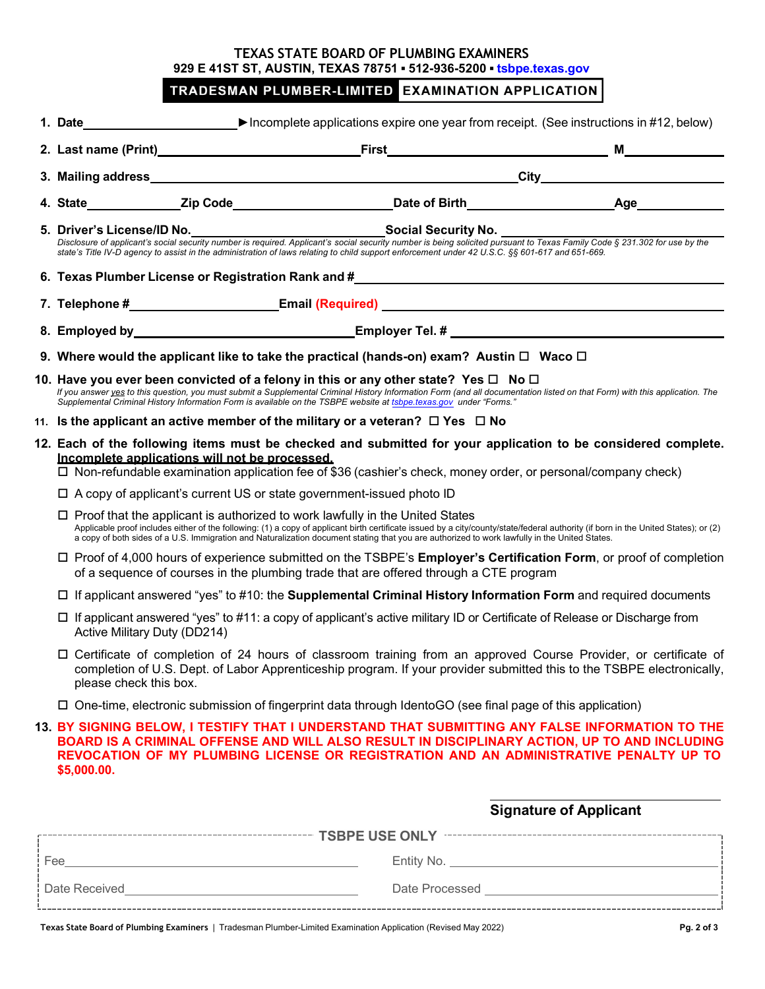## **TEXAS STATE BOARD OF PLUMBING EXAMINERS 929 E 41ST ST, AUSTIN, TEXAS 78751 ▪ 512-936-5200 ▪ [tsbpe.texas.gov](http://www.tsbpe.texas.gov/)**

## TRADESMAN PLUMBER-LIMITED EXAMINATION APPLICATION

|  | 1. Date and the state of the state of the state of the state of the state of the state of the state of the state of the state of the state of the state of the state of the state of the state of the state of the state of th                                                                                                                                                                                              |                                                                                          | ▶ Incomplete applications expire one year from receipt. (See instructions in #12, below)                                                                                                                                                                                                                                                                    |                               |  |
|--|-----------------------------------------------------------------------------------------------------------------------------------------------------------------------------------------------------------------------------------------------------------------------------------------------------------------------------------------------------------------------------------------------------------------------------|------------------------------------------------------------------------------------------|-------------------------------------------------------------------------------------------------------------------------------------------------------------------------------------------------------------------------------------------------------------------------------------------------------------------------------------------------------------|-------------------------------|--|
|  |                                                                                                                                                                                                                                                                                                                                                                                                                             |                                                                                          |                                                                                                                                                                                                                                                                                                                                                             |                               |  |
|  |                                                                                                                                                                                                                                                                                                                                                                                                                             |                                                                                          |                                                                                                                                                                                                                                                                                                                                                             |                               |  |
|  |                                                                                                                                                                                                                                                                                                                                                                                                                             |                                                                                          |                                                                                                                                                                                                                                                                                                                                                             |                               |  |
|  |                                                                                                                                                                                                                                                                                                                                                                                                                             |                                                                                          | 5. Driver's License/ID No.<br>Disclosure of applicant's social security number is required. Applicant's social security number is being solicited pursuant to Texas Family Code § 231.302 for use by the<br>state's Title IV-D agency to assist in the administration of laws relating to child support enforcement under 42 U.S.C. §§ 601-617 and 651-669. |                               |  |
|  |                                                                                                                                                                                                                                                                                                                                                                                                                             | 6. Texas Plumber License or Registration Rank and #______________________________        |                                                                                                                                                                                                                                                                                                                                                             |                               |  |
|  |                                                                                                                                                                                                                                                                                                                                                                                                                             |                                                                                          |                                                                                                                                                                                                                                                                                                                                                             |                               |  |
|  |                                                                                                                                                                                                                                                                                                                                                                                                                             |                                                                                          |                                                                                                                                                                                                                                                                                                                                                             |                               |  |
|  |                                                                                                                                                                                                                                                                                                                                                                                                                             |                                                                                          | 9. Where would the applicant like to take the practical (hands-on) exam? Austin $\Box$ Waco $\Box$                                                                                                                                                                                                                                                          |                               |  |
|  | 10. Have you ever been convicted of a felony in this or any other state? Yes $\Box$ No $\Box$<br>If you answer yes to this question, you must submit a Supplemental Criminal History Information Form (and all documentation listed on that Form) with this application. The<br>Supplemental Criminal History Information Form is available on the TSBPE website at tsbpe texas gov under "Forms."                          |                                                                                          |                                                                                                                                                                                                                                                                                                                                                             |                               |  |
|  |                                                                                                                                                                                                                                                                                                                                                                                                                             | 11. Is the applicant an active member of the military or a veteran? $\Box$ Yes $\Box$ No |                                                                                                                                                                                                                                                                                                                                                             |                               |  |
|  | 12. Each of the following items must be checked and submitted for your application to be considered complete.<br>Incomplete applications will not be processed.<br>□ Non-refundable examination application fee of \$36 (cashier's check, money order, or personal/company check)                                                                                                                                           |                                                                                          |                                                                                                                                                                                                                                                                                                                                                             |                               |  |
|  |                                                                                                                                                                                                                                                                                                                                                                                                                             |                                                                                          | $\Box$ A copy of applicant's current US or state government-issued photo ID                                                                                                                                                                                                                                                                                 |                               |  |
|  | $\Box$ Proof that the applicant is authorized to work lawfully in the United States<br>Applicable proof includes either of the following: (1) a copy of applicant birth certificate issued by a city/county/state/federal authority (if born in the United States); or (2)<br>a copy of both sides of a U.S. Immigration and Naturalization document stating that you are authorized to work lawfully in the United States. |                                                                                          |                                                                                                                                                                                                                                                                                                                                                             |                               |  |
|  | $\Box$ Proof of 4,000 hours of experience submitted on the TSBPE's <b>Employer's Certification Form</b> , or proof of completion<br>of a sequence of courses in the plumbing trade that are offered through a CTE program                                                                                                                                                                                                   |                                                                                          |                                                                                                                                                                                                                                                                                                                                                             |                               |  |
|  | $\Box$ If applicant answered "yes" to #10: the Supplemental Criminal History Information Form and required documents                                                                                                                                                                                                                                                                                                        |                                                                                          |                                                                                                                                                                                                                                                                                                                                                             |                               |  |
|  | □ If applicant answered "yes" to #11: a copy of applicant's active military ID or Certificate of Release or Discharge from<br>Active Military Duty (DD214)                                                                                                                                                                                                                                                                  |                                                                                          |                                                                                                                                                                                                                                                                                                                                                             |                               |  |
|  | □ Certificate of completion of 24 hours of classroom training from an approved Course Provider, or certificate of<br>completion of U.S. Dept. of Labor Apprenticeship program. If your provider submitted this to the TSBPE electronically,<br>please check this box.                                                                                                                                                       |                                                                                          |                                                                                                                                                                                                                                                                                                                                                             |                               |  |
|  | □ One-time, electronic submission of fingerprint data through IdentoGO (see final page of this application)                                                                                                                                                                                                                                                                                                                 |                                                                                          |                                                                                                                                                                                                                                                                                                                                                             |                               |  |
|  | 13. BY SIGNING BELOW, I TESTIFY THAT I UNDERSTAND THAT SUBMITTING ANY FALSE INFORMATION TO THE<br>BOARD IS A CRIMINAL OFFENSE AND WILL ALSO RESULT IN DISCIPLINARY ACTION, UP TO AND INCLUDING<br>REVOCATION OF MY PLUMBING LICENSE OR REGISTRATION AND AN ADMINISTRATIVE PENALTY UP TO<br>\$5,000.00.                                                                                                                      |                                                                                          |                                                                                                                                                                                                                                                                                                                                                             |                               |  |
|  |                                                                                                                                                                                                                                                                                                                                                                                                                             |                                                                                          |                                                                                                                                                                                                                                                                                                                                                             | <b>Signature of Applicant</b> |  |
|  |                                                                                                                                                                                                                                                                                                                                                                                                                             |                                                                                          |                                                                                                                                                                                                                                                                                                                                                             |                               |  |
|  |                                                                                                                                                                                                                                                                                                                                                                                                                             |                                                                                          |                                                                                                                                                                                                                                                                                                                                                             |                               |  |
|  |                                                                                                                                                                                                                                                                                                                                                                                                                             |                                                                                          |                                                                                                                                                                                                                                                                                                                                                             |                               |  |
|  |                                                                                                                                                                                                                                                                                                                                                                                                                             |                                                                                          | Texas State Board of Plumbing Examiners   Tradesman Plumber-Limited Examination Application (Revised May 2022)                                                                                                                                                                                                                                              | Pg. 2 of 3                    |  |